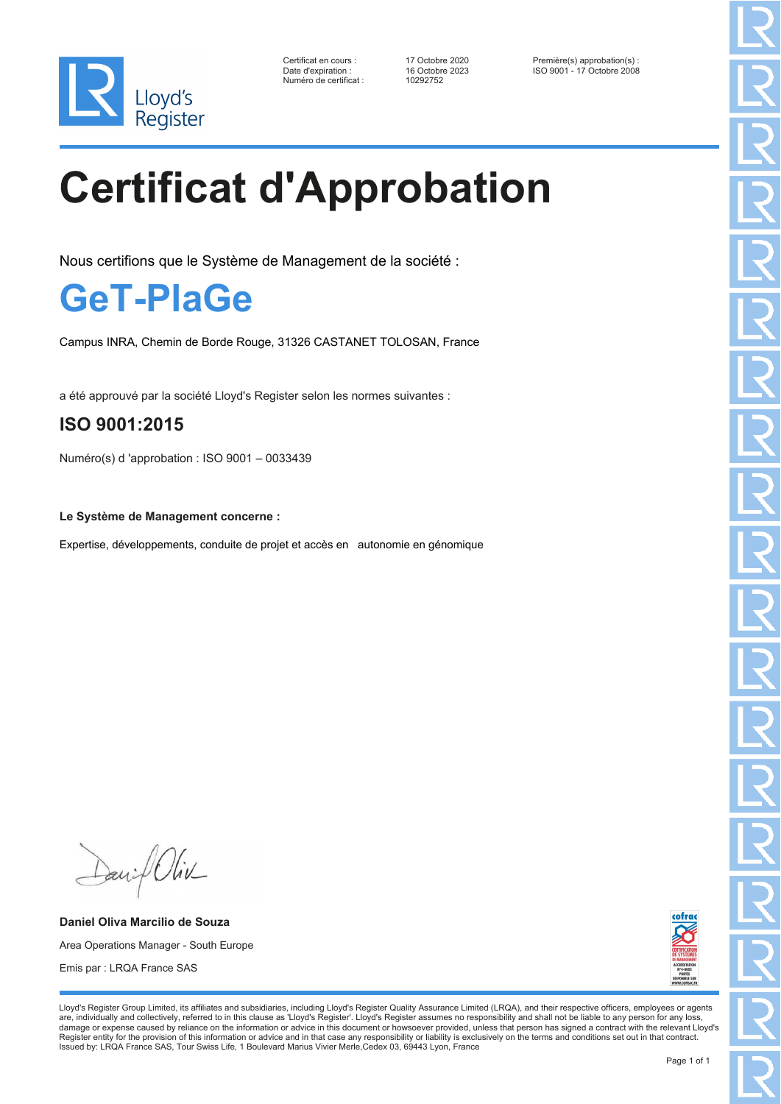

Numéro de certificat : 10292752

Certificat en cours : 17 Octobre 2020 Première(s) approbation(s) : Date d'expiration : 16 Octobre 2023 ISO 9001 - 17 Octobre 2008

# **Certificat d'Approbation**

Nous certifions que le Système de Management de la société :

### **GeT-PlaGe**

Campus INRA, Chemin de Borde Rouge, 31326 CASTANET TOLOSAN, France

a été approuvé par la société Lloyd's Register selon les normes suivantes :

#### **ISO 9001:2015**

Numéro(s) d 'approbation : ISO 9001 – 0033439

**Le Système de Management concerne :**

Expertise, développements, conduite de projet et accès en autonomie en génomique

Daniel Oliv

**Daniel Oliva Marcilio de Souza** Area Operations Manager - South Europe Emis par : LRQA France SAS



Lloyd's Register Group Limited, its affiliates and subsidiaries, including Lloyd's Register Quality Assurance Limited (LRQA), and their respective officers, employees or agents are, individually and collectively, referred to in this clause as 'Lloyd's Register'. Lloyd's Register assumes no responsibility and shall not be liable to any person for any loss,<br>damage or expense caused by reliance on t Register entity for the provision of this information or advice and in that case any responsibility or liability is exclusively on the terms and conditions set out in that contract. Issued by: LRQA France SAS, Tour Swiss Life, 1 Boulevard Marius Vivier Merle, Cedex 03, 69443 Lyon, France